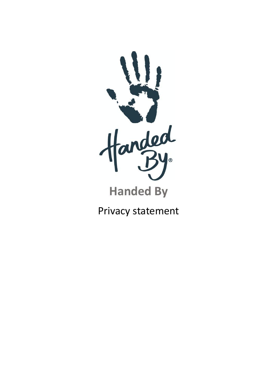

Privacy statement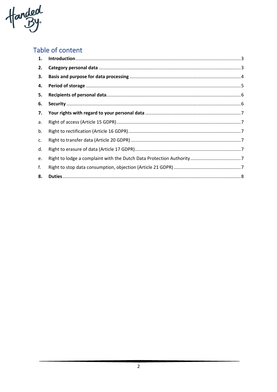Handed

# Table of content

| 1. |  |
|----|--|
| 2. |  |
| 3. |  |
| 4. |  |
| 5. |  |
| 6. |  |
| 7. |  |
| а. |  |
| b. |  |
| c. |  |
| d. |  |
| e. |  |
| f. |  |
| 8. |  |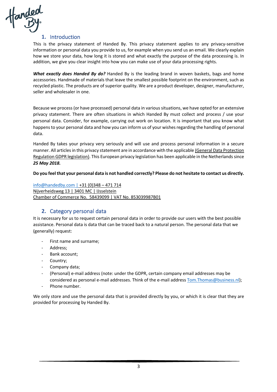

# **1.** Introduction

This is the privacy statement of Handed By. This privacy statement applies to any privacy-sensitive information or personal data you provide to us, for example when you send us an email. We clearly explain how we store your data, how long it is stored and what exactly the purpose of the data processing is. In addition, we give you clear insight into how you can make use of your data processing rights.

*What exactly does Handed By do?* Handed By is the leading brand in woven baskets, bags and home accessories. Handmade of materials that leave the smallest possible footprint on the environment, such as recycled plastic. The products are of superior quality. We are a product developer, designer, manufacturer, seller and wholesaler in one.

Because we process (or have processed) personal data in various situations, we have opted for an extensive privacy statement. There are often situations in which Handed By must collect and process / use your personal data. Consider, for example, carrying out work on location. It is important that you know what happens to your personal data and how you can inform us of your wishes regarding the handling of personal data.

Handed By takes your privacy very seriously and will use and process personal information in a secure manner. All articles in this privacy statement are in accordance with the applicable (General Data Protection Regulation GDPR legislation). This European privacy legislation has been applicable in the Netherlands since *25 May 2018.* 

**Do you feel that your personal data is not handled correctly? Please do not hesitate to contact us directly.**

info@handedby.com | +31 (0)348 – 471 714 Nijverheidsweg 13 | 3401 MC | IJsselstein Chamber of Commerce No. 58439099 | VAT No. 853039987B01

# **2.** Category personal data

It is necessary for us to request certain personal data in order to provide our users with the best possible assistance. Personal data is data that can be traced back to a natural person. The personal data that we (generally) request:

- First name and surname;
- Address;
- Bank account;
- Country;
- Company data;
- (Personal) e-mail address (note: under the GDPR, certain company email addresses may be considered as personal e-mail addresses. Think of the e-mail address Tom.Thomas@business.nl);
- Phone number.

We only store and use the personal data that is provided directly by you, or which it is clear that they are provided for processing by Handed By.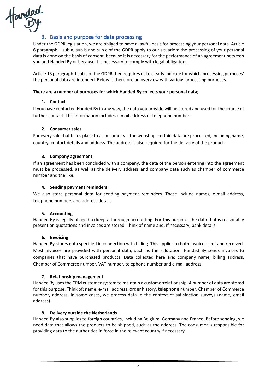

# **3.** Basis and purpose for data processing

Under the GDPR legislation, we are obliged to have a lawful basis for processing your personal data. Article 6 paragraph 1 sub a, sub b and sub c of the GDPR apply to our situation: the processing of your personal data is done on the basis of consent, because it is necessary for the performance of an agreement between you and Handed By or because it is necessary to comply with legal obligations.

Article 13 paragraph 1 sub c of the GDPR then requires us to clearly indicate for which 'processing purposes' the personal data are intended. Below is therefore an overview with various processing purposes.

#### **There are a number of purposes for which Handed By collects your personal data;**

#### **1. Contact**

If you have contacted Handed By in any way, the data you provide will be stored and used for the course of further contact. This information includes e-mail address or telephone number.

#### **2. Consumer sales**

For every sale that takes place to a consumer via the webshop, certain data are processed, including name, country, contact details and address. The address is also required for the delivery of the product.

## **3. Company agreement**

If an agreement has been concluded with a company, the data of the person entering into the agreement must be processed, as well as the delivery address and company data such as chamber of commerce number and the like.

## **4. Sending payment reminders**

We also store personal data for sending payment reminders. These include names, e-mail address, telephone numbers and address details.

#### **5. Accounting**

Handed By is legally obliged to keep a thorough accounting. For this purpose, the data that is reasonably present on quotations and invoices are stored. Think of name and, if necessary, bank details.

#### **6. Invoicing**

Handed By stores data specified in connection with billing. This applies to both invoices sent and received. Most invoices are provided with personal data, such as the salutation. Handed By sends invoices to companies that have purchased products. Data collected here are: company name, billing address, Chamber of Commerce number, VAT number, telephone number and e-mail address.

#### **7. Relationship management**

Handed By uses the CRM customer system to maintain a customerrelationship. A number of data are stored for this purpose. Think of: name, e-mail address, order history, telephone number, Chamber of Commerce number, address. In some cases, we process data in the context of satisfaction surveys (name, email address).

#### **8. Delivery outside the Netherlands**

Handed By also supplies to foreign countries, including Belgium, Germany and France. Before sending, we need data that allows the products to be shipped, such as the address. The consumer is responsible for providing data to the authorities in force in the relevant country if necessary.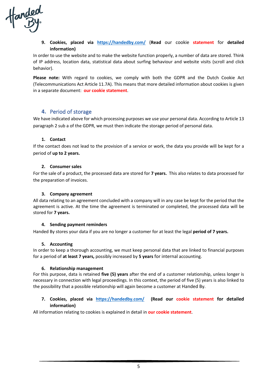anded<br>By

# **9. Cookies, placed via https://handedby.com/** (**Read** our cookie **statement** for **detailed information)**

In order to use the website and to make the website function properly, a number of data are stored. Think of IP address, location data, statistical data about surfing behaviour and website visits (scroll and click behavior).

**Please note:** With regard to cookies, we comply with both the GDPR and the Dutch Cookie Act (Telecommunications Act Article 11.7A). This means that more detailed information about cookies is given in a separate document: **our cookie statement**.

# **4.** Period of storage

We have indicated above for which processing purposes we use your personal data. According to Article 13 paragraph 2 sub a of the GDPR, we must then indicate the storage period of personal data.

## **1. Contact**

If the contact does not lead to the provision of a service or work, the data you provide will be kept for a period of **up to 2 years.**

## **2. Consumer sales**

For the sale of a product, the processed data are stored for **7 years.** This also relates to data processed for the preparation of invoices.

#### **3. Company agreement**

All data relating to an agreement concluded with a company will in any case be kept for the period that the agreement is active. At the time the agreement is terminated or completed, the processed data will be stored for **7 years.**

#### **4. Sending payment reminders**

Handed By stores your data if you are no longer a customer for at least the legal **period of 7 years.**

#### **5. Accounting**

In order to keep a thorough accounting, we must keep personal data that are linked to financial purposes for a period of **at least 7 years,** possibly increased by **5 years** for internal accounting.

#### **6. Relationship management**

For this purpose, data is retained **five (5) years** after the end of a customer relationship, unless longer is necessary in connection with legal proceedings. In this context, the period of five (5) years is also linked to the possibility that a possible relationship will again become a customer at Handed By.

## **7. Cookies, placed via https://handedby.com/ (Read our cookie statement for detailed information)**

All information relating to cookies is explained in detail in **our cookie statement**.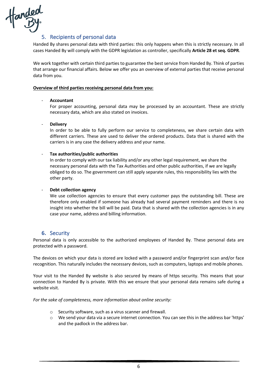

# 5. Recipients of personal data

Handed By shares personal data with third parties: this only happens when this is strictly necessary. In all cases Handed By will comply with the GDPR legislation as controller, specifically **Article 28 et seq. GDPR**.

We work together with certain third parties to guarantee the best service from Handed By. Think of parties that arrange our financial affairs. Below we offer you an overview of external parties that receive personal data from you.

#### **Overview of third parties receiving personal data from you:**

## - **Accountant**

For proper accounting, personal data may be processed by an accountant. These are strictly necessary data, which are also stated on invoices.

- **Delivery**

In order to be able to fully perform our service to completeness, we share certain data with different carriers. These are used to deliver the ordered products. Data that is shared with the carriers is in any case the delivery address and your name.

## - **Tax authorities/public authorities**

In order to comply with our tax liability and/or any other legal requirement, we share the necessary personal data with the Tax Authorities and other public authorities, if we are legally obliged to do so. The government can still apply separate rules, this responsibility lies with the other party.

## **Debt collection agency**

We use collection agencies to ensure that every customer pays the outstanding bill. These are therefore only enabled if someone has already had several payment reminders and there is no insight into whether the bill will be paid. Data that is shared with the collection agencies is in any case your name, address and billing information.

# **6.** Security

Personal data is only accessible to the authorized employees of Handed By. These personal data are protected with a password.

The devices on which your data is stored are locked with a password and/or fingerprint scan and/or face recognition. This naturally includes the necessary devices, such as computers, laptops and mobile phones.

Your visit to the Handed By website is also secured by means of https security. This means that your connection to Handed By is private. With this we ensure that your personal data remains safe during a website visit.

*For the sake of completeness, more information about online security:*

- o Security software, such as a virus scanner and firewall.
- o We send your data via a secure internet connection. You can see this in the address bar 'https' and the padlock in the address bar.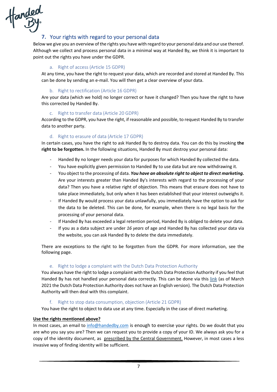

# **7.** Your rights with regard to your personal data

Below we give you an overview of the rights you have with regard to your personal data and our use thereof. Although we collect and process personal data in a minimal way at Handed By, we think it is important to point out the rights you have under the GDPR.

# a. Right of access (Article 15 GDPR)

At any time, you have the right to request your data, which are recorded and stored at Handed By. This can be done by sending an e-mail. You will then get a clear overview of your data.

# b. Right to rectification (Article 16 GDPR)

Are your data (which we hold) no longer correct or have it changed? Then you have the right to have this corrected by Handed By.

# c. Right to transfer data (Article 20 GDPR)

According to the GDPR, you have the right, if reasonable and possible, to request Handed By to transfer data to another party.

# d. Right to erasure of data (Article 17 GDPR)

In certain cases, you have the right to ask Handed By to destroy data. You can do this by invoking **the right to be forgotten.** In the following situations, Handed By must destroy your personal data:

- Handed By no longer needs your data for purposes for which Handed By collected the data.
- You have explicitly given permission to Handed By to use data but are now withdrawing it.
- You object to the processing of data. *You have an absolute right to object to direct marketing.* Are your interests greater than Handed By's interests with regard to the processing of your data? Then you have a relative right of objection. This means that erasure does not have to take place immediately, but only when it has been established that your interest outweighs it.
- If Handed By would process your data unlawfully, you immediately have the option to ask for the data to be deleted. This can be done, for example, when there is no legal basis for the processing of your personal data.
- If Handed By has exceeded a legal retention period, Handed By is obliged to delete your data.
- If you as a data subject are under *16 years* of age and Handed By has collected your data via the website, you can ask Handed By to delete the data immediately.

There are exceptions to the right to be forgotten from the GDPR. For more information, see the following page.

# e. Right to lodge a complaint with the Dutch Data Protection Authority

You always have the right to lodge a complaint with the Dutch Data Protection Authority if you feel that Handed By has not handled your personal data correctly. This can be done via this link (as of March 2021 the Dutch Data Protection Authority does not have an English version). The Dutch Data Protection Authority will then deal with this complaint.

# f. Right to stop data consumption, objection (Article 21 GDPR)

You have the right to object to data use at any time. Especially in the case of direct marketing.

# **Use the rights mentioned above?**

In most cases, an email to info@handedby.com is enough to exercise your rights. Do we doubt that you are who you say you are? Then we can request you to provide a copy of your ID. We always ask you for a copy of the identity document, as prescribed by the Central Government. However, in most cases a less invasive way of finding identity will be sufficient.